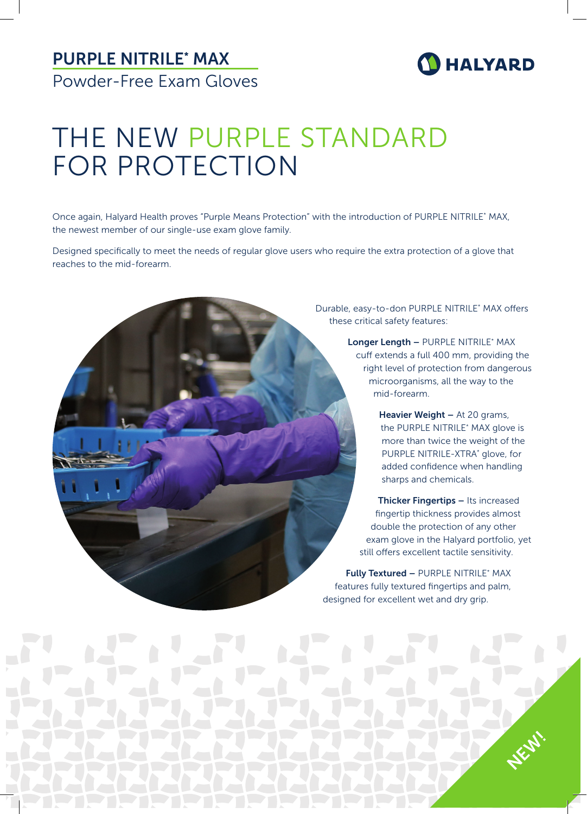## PURPLE NITRILE\* MAX Powder-Free Exam Gloves

## **D** HALYARD

# THE NEW PURPLE STANDARD FOR PROTECTION

Once again, Halyard Health proves "Purple Means Protection" with the introduction of PURPLE NITRILE\* MAX, the newest member of our single-use exam glove family.

Designed specifically to meet the needs of regular glove users who require the extra protection of a glove that reaches to the mid-forearm.

> Durable, easy-to-don PURPLE NITRILE\* MAX offers these critical safety features:

> > Longer Length - PURPLE NITRILE\* MAX cuff extends a full 400 mm, providing the right level of protection from dangerous microorganisms, all the way to the mid-forearm.

> > > Heavier Weight - At 20 grams, the PURPLE NITRILE\* MAX glove is more than twice the weight of the PURPLE NITRILE-XTRA\* glove, for added confidence when handling sharps and chemicals.

Thicker Fingertips - Its increased fingertip thickness provides almost double the protection of any other exam glove in the Halyard portfolio, yet still offers excellent tactile sensitivity.

Fully Textured - PURPLE NITRILE\* MAX features fully textured fingertips and palm, designed for excellent wet and dry grip.